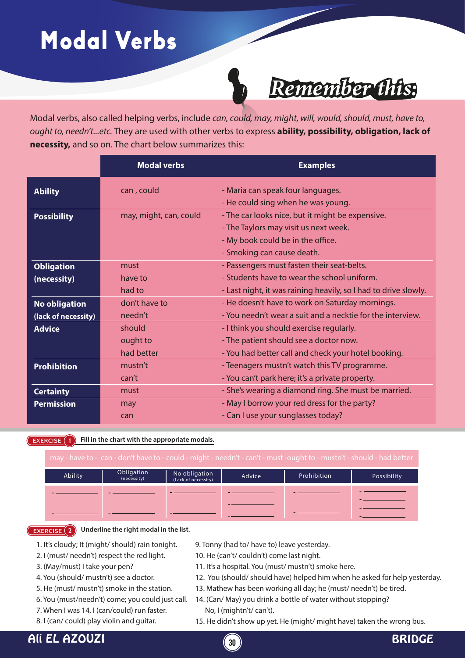# Modal Verbs



### *Remember this:*

Modal verbs, also called helping verbs, include *can, could, may, might, will, would, should, must, have to, ought to, needn't...etc.* They are used with other verbs to express **ability, possibility, obligation, lack of necessity,** and so on. The chart below summarizes this:

|                      | <b>Modal verbs</b>     | <b>Examples</b>                                                 |
|----------------------|------------------------|-----------------------------------------------------------------|
| <b>Ability</b>       | can, could             | - Maria can speak four languages.                               |
|                      |                        | - He could sing when he was young.                              |
| <b>Possibility</b>   | may, might, can, could | - The car looks nice, but it might be expensive.                |
|                      |                        | - The Taylors may visit us next week.                           |
|                      |                        | - My book could be in the office.                               |
|                      |                        | - Smoking can cause death.                                      |
| <b>Obligation</b>    | must                   | - Passengers must fasten their seat-belts.                      |
| (necessity)          | have to                | - Students have to wear the school uniform.                     |
|                      | had to                 | - Last night, it was raining heavily, so I had to drive slowly. |
| <b>No obligation</b> | don't have to          | - He doesn't have to work on Saturday mornings.                 |
| (lack of necessity)  | needn't                | - You needn't wear a suit and a necktie for the interview.      |
| <b>Advice</b>        | should                 | - I think you should exercise regularly.                        |
|                      | ought to               | - The patient should see a doctor now.                          |
|                      | had better             | - You had better call and check your hotel booking.             |
| <b>Prohibition</b>   | mustn't                | - Teenagers mustn't watch this TV programme.                    |
|                      | can't                  | - You can't park here; it's a private property.                 |
| <b>Certainty</b>     | must                   | - She's wearing a diamond ring. She must be married.            |
| <b>Permission</b>    | may                    | - May I borrow your red dress for the party?                    |
|                      | can                    | - Can I use your sunglasses today?                              |

**EXERCISE 1** Fill in the chart with the appropriate modals.

| may - have to - can - don't have to - could - might - needn't - can't - must -ought to - mustn't - should - had better |                           |                                      |        |             |             |  |
|------------------------------------------------------------------------------------------------------------------------|---------------------------|--------------------------------------|--------|-------------|-------------|--|
| Ability                                                                                                                | Obligation<br>(necessity) | No obligation<br>(Lack of necessity) | Advice | Prohibition | Possibility |  |
|                                                                                                                        |                           |                                      |        |             |             |  |
|                                                                                                                        |                           |                                      |        |             |             |  |

**-**

#### **EXERCISE 2 Underline the right modal in the list.**

**-**

**-**

- 1. It's cloudy; It (might/ should) rain tonight.
- 2. I (must/ needn't) respect the red light.
- 3. (May/must) I take your pen?
- 4. You (should/ mustn't) see a doctor.
- 5. He (must/ mustn't) smoke in the station.
- 6. You (must/needn't) come; you could just call.
- 7. When I was 14, I (can/could) run faster.
- 8. I (can/ could) play violin and guitar.
- 9. Tonny (had to/ have to) leave yesterday.
- 10. He (can't/ couldn't) come last night.
- 11. It's a hospital. You (must/ mustn't) smoke here.
- 12. You (should/ should have) helped him when he asked for help yesterday.

**-**

- 13. Mathew has been working all day; he (must/ needn't) be tired.
- 14. (Can/ May) you drink a bottle of water without stopping? No, I (mightn't/ can't).

**-**

15. He didn't show up yet. He (might/ might have) taken the wrong bus.

### Ali EL AZOUZI **<sup>30</sup>** BRIDGE

**-**



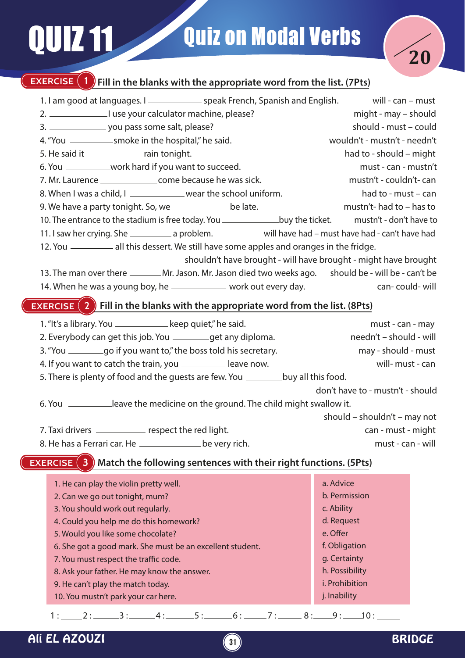# UIZ 11 Quiz on Modal Verbs



### **EXERCISE** (1) Fill in the blanks with the appropriate word from the list. (7Pts) **EXERCISE (2)** Fill in the blanks with the appropriate word from the list. (8Pts) **EXERCISE (3)** Match the following sentences with their right functions. (5Pts) 1. I am good at languages. I <u>speak French, Spanish and English.</u> will - can – must 2. I use your calculator machine, please? The might - may – should 3. you pass some salt, please? should - must – could 4. "You smoke in the hospital," he said. wouldn't - mustn't - needn't 5. He said it \_\_\_\_\_\_\_\_\_\_\_\_\_\_\_\_ rain tonight. had to - should – might 6. You \_\_\_\_\_\_\_\_\_\_\_work hard if you want to succeed. The must - can - mustn't 7. Mr. Laurence \_\_\_\_\_\_\_\_\_\_\_\_\_\_\_\_\_\_\_\_come because he was sick. The mustn't - couldn't- can 8. When I was a child, I <u>wear the school uniform.</u> The school uniform had to - must – can 9. We have a party tonight. So, we \_\_\_\_\_\_\_\_\_\_\_\_\_be late. https://web.com/induction- has to = has to 10. The entrance to the stadium is free today. You \_\_\_\_\_\_\_\_\_\_\_\_\_\_\_buy the ticket. mustn't - don't have to 11. I saw her crying. She \_\_\_\_\_\_\_\_\_\_\_\_ a problem. will have had – must have had - can't have had 12. You \_\_\_\_\_\_\_\_\_\_ all this dessert. We still have some apples and oranges in the fridge. shouldn't have brought - will have brought - might have brought 13. The man over there \_\_\_\_\_\_\_\_Mr. Jason. Mr. Jason died two weeks ago. should be - will be - can't be 14. When he was a young boy, he <u>was a sequence</u> work out every day. The work can- could- will 1. "It's a library. You \_\_\_\_\_\_\_\_\_\_\_\_\_\_\_keep quiet," he said. example a must - can - may 2. Everybody can get this job. You \_\_\_\_\_\_\_\_get any diploma. needn't – should - will 3. "You \_\_\_\_\_\_\_\_\_\_\_\_go if you want to," the boss told his secretary. The may - should - must 4. If you want to catch the train, you \_\_\_\_\_\_\_\_\_\_\_\_ leave now. The same will- must - can 5. There is plenty of food and the guests are few. You \_\_\_\_\_\_\_\_\_ buy all this food. don't have to - mustn't - should 6. You \_\_\_\_\_\_\_\_\_leave the medicine on the ground. The child might swallow it. should – shouldn't – may not 7. Taxi drivers \_\_\_\_\_\_\_\_\_\_ respect the red light. The respect of the red light. can - must - might 8. He has a Ferrari car. He **be very rich**. The same of the same of the same will 1. He can play the violin pretty well. 2. Can we go out tonight, mum? 3. You should work out regularly. a. Advice b. Permission c. Ability

- 4. Could you help me do this homework?
- 5. Would you like some chocolate?
- 6. She got a good mark. She must be an excellent student.
- 7. You must respect the traffic code.
- 8. Ask your father. He may know the answer.
- 9. He can't play the match today.
- 10. You mustn't park your car here.

 $1 : 2 : 3 : 4 : 5 : 6 : 7 : 8 : 9 : 10 : 1$ 

**31**



d. Request e. Offer f. Obligation g. Certainty h. Possibility i. Prohibition j. Inability